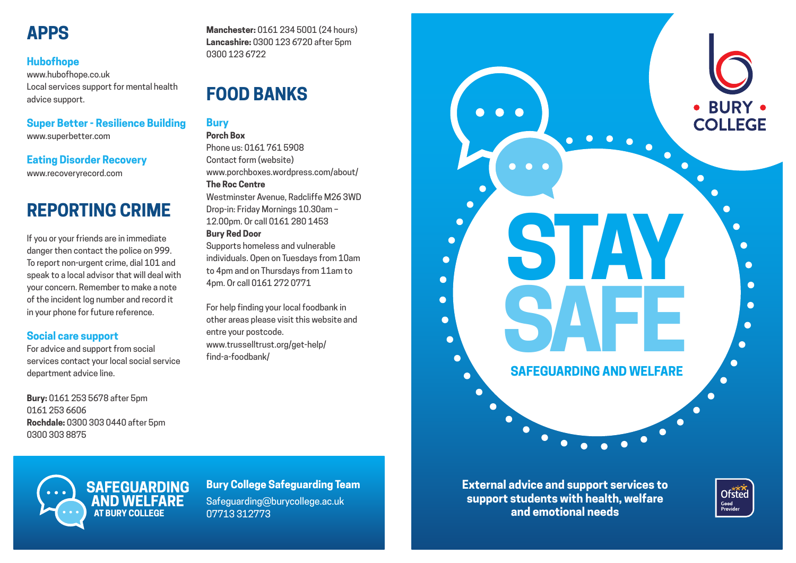# **APPS**

### **Hubofhope**

www.hubofhope.co.uk Local services support for mental health advice support.

# **Super Better - Resilience Building**

www.superbetter.com

### **Eating Disorder Recovery** www.recoveryrecord.com

# **REPORTING CRIME**

If you or your friends are in immediate danger then contact the police on 999. To report non-urgent crime, dial 101 and speak to a local advisor that will deal with your concern. Remember to make a note of the incident log number and record it in your phone for future reference.

#### **Social care support**

For advice and support from social services contact your local social service department advice line.

**Bury:** 0161 253 5678 after 5pm 0161 253 6606 **Rochdale:** 0300 303 0440 after 5pm 0300 303 8875

**Manchester:** 0161 234 5001 (24 hours) **Lancashire:** 0300 123 6720 after 5pm 0300 123 6722

# **FOOD BANKS**

# **Bury**

**Porch Box** Phone us: 0161 761 5908 Contact form (website) www.porchboxes.wordpress.com/about/ **The Roc Centre** Westminster Avenue, Radcliffe M26 3WD Drop-in: Friday Mornings 10.30am – 12.00pm. Or call 0161 280 1453 **Bury Red Door**

Supports homeless and vulnerable individuals. Open on Tuesdays from 10am to 4pm and on Thursdays from 11am to 4pm. Or call 0161 272 0771

For help finding your local foodbank in other areas please visit this website and entre your postcode. www.trusselltrust.org/get-help/ find-a-foodbank/



**SAFEGUARDING AND WELFARE AT BURY COLLEGE**

# **Bury College Safeguarding Team** Safeguarding@burycollege.ac.uk

07713 312773

**External advice and support services to support students with health, welfare and emotional needs**